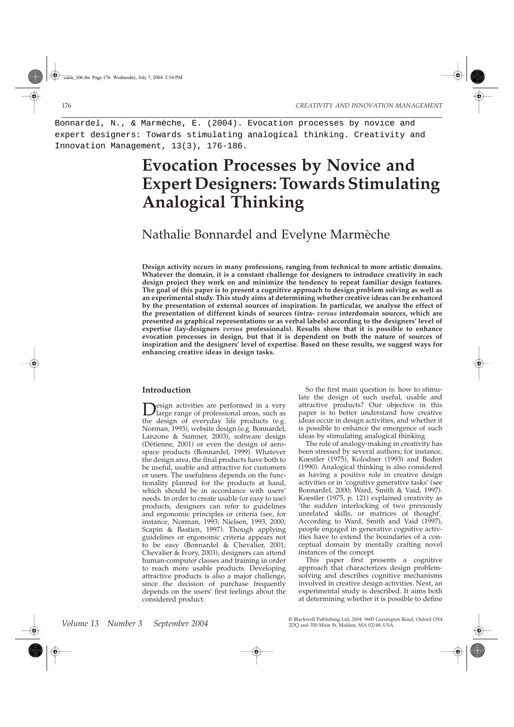Bonnardel, N., & Marmèche, E. (2004). Evocation processes by novice and expert designers: Towards stimulating analogical thinking. Creativity and Innovation Management, 13(3), 176-186.

# **Evocation Processes by Novice and Expert Designers: Towards Stimulating Analogical Thinking**

## Nathalie Bonnardel and Evelyne Marmèche

**Design activity occurs in many professions, ranging from technical to more artistic domains. Whatever the domain, it is a constant challenge for designers to introduce creativity in each design project they work on and minimize the tendency to repeat familiar design features. The goal of this paper is to present a cognitive approach to design problem solving as well as an experimental study. This study aims at determining whether creative ideas can be enhanced by the presentation of external sources of inspiration. In particular, we analyse the effect of the presentation of different kinds of sources (intra-** *versus* **interdomain sources, which are presented as graphical representations or as verbal labels) according to the designers' level of expertise (lay-designers** *versus* **professionals). Results show that it is possible to enhance evocation processes in design, but that it is dependent on both the nature of sources of inspiration and the designers' level of expertise. Based on these results, we suggest ways for enhancing creative ideas in design tasks.**

#### **Introduction**

esign activities are performed in a very Jarge range of professional areas, such as **D**esign activities are performed in a very<br>the design of everyday life products (e.g. Norman, 1993), website design (e.g. Bonnardel, Lanzone & Sumner, 2003), software design (Détienne, 2001) or even the design of aerospace products (Bonnardel, 1999). Whatever the design area, the final products have both to be useful, usable and attractive for customers or users. The usefulness depends on the functionality planned for the products at hand, which should be in accordance with users' needs. In order to create usable (or easy to use) products, designers can refer to guidelines and ergonomic principles or criteria (see, for instance, Norman, 1993; Nielsen, 1993, 2000; Scapin & Bastien, 1997). Though applying guidelines or ergonomic criteria appears not to be easy (Bonnardel & Chevalier, 2001; Chevalier & Ivory, 2003), designers can attend human-computer classes and training in order to reach more usable products. Developing attractive products is also a major challenge, since the decision of purchase frequently depends on the users' first feelings about the considered product.

So the first main question is: how to stimulate the design of such useful, usable and attractive products? Our objective in this paper is to better understand how creative ideas occur in design activities, and whether it is possible to enhance the emergence of such ideas by stimulating analogical thinking.

The role of analogy-making in creativity has been stressed by several authors; for instance, Koestler (1975), Kolodner (1993) and Boden (1990). Analogical thinking is also considered as having a positive role in creative design activities or in 'cognitive generative tasks' (see Bonnardel, 2000; Ward, Smith & Vaid, 1997). Koestler (1975, p. 121) explained creativity as 'the sudden interlocking of two previously unrelated skills, or matrices of thought'. According to Ward, Smith and Vaid (1997), people engaged in generative cognitive activities have to extend the boundaries of a conceptual domain by mentally crafting novel instances of the concept.

This paper first presents a cognitive approach that characterizes design problemsolving and describes cognitive mechanisms involved in creative design activities. Next, an experimental study is described. It aims both at determining whether it is possible to define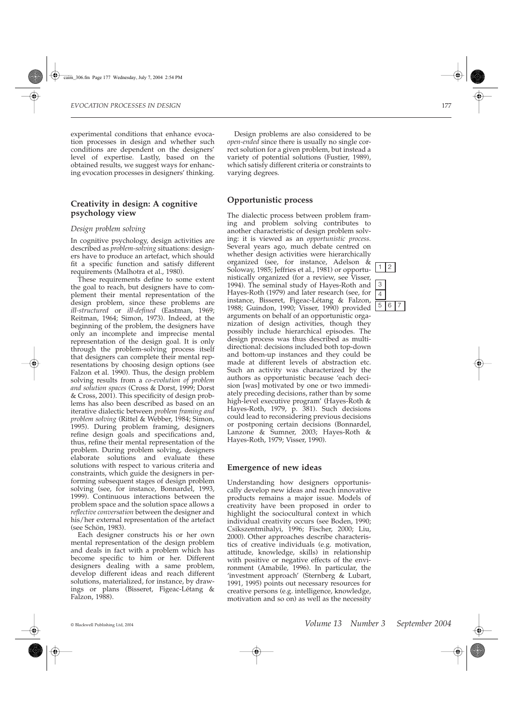experimental conditions that enhance evocation processes in design and whether such conditions are dependent on the designers' level of expertise. Lastly, based on the obtained results, we suggest ways for enhancing evocation processes in designers' thinking.

## **Creativity in design: A cognitive psychology view**

#### *Design problem solving*

In cognitive psychology, design activities are described as *problem-solving* situations: designers have to produce an artefact, which should fit a specific function and satisfy different requirements (Malhotra et al., 1980).

These requirements define to some extent the goal to reach, but designers have to complement their mental representation of the design problem, since these problems are *ill-structured* or *ill-defined* (Eastman, 1969; Reitman, 1964; Simon, 1973). Indeed, at the beginning of the problem, the designers have only an incomplete and imprecise mental representation of the design goal. It is only through the problem-solving process itself that designers can complete their mental representations by choosing design options (see Falzon et al. 1990). Thus, the design problem solving results from a *co-evolution of problem and solution spaces* (Cross & Dorst, 1999; Dorst & Cross, 2001). This specificity of design problems has also been described as based on an iterative dialectic between *problem framing and problem solving* (Rittel & Webber, 1984; Simon, 1995). During problem framing, designers refine design goals and specifications and, thus, refine their mental representation of the problem. During problem solving, designers elaborate solutions and evaluate these solutions with respect to various criteria and constraints, which guide the designers in performing subsequent stages of design problem solving (see, for instance, Bonnardel, 1993, 1999). Continuous interactions between the problem space and the solution space allows a *reflective conversation* between the designer and his/her external representation of the artefact (see Schön, 1983).

Each designer constructs his or her own mental representation of the design problem and deals in fact with a problem which has become specific to him or her. Different designers dealing with a same problem, develop different ideas and reach different solutions, materialized, for instance, by drawings or plans (Bisseret, Figeac-Létang & Falzon, 1988).

Design problems are also considered to be *open-ended* since there is usually no single correct solution for a given problem, but instead a variety of potential solutions (Fustier, 1989), which satisfy different criteria or constraints to varying degrees.

## **Opportunistic process**

The dialectic process between problem framing and problem solving contributes to another characteristic of design problem solving: it is viewed as an *opportunistic process*. Several years ago, much debate centred on whether design activities were hierarchically organized (see, for instance, Adelson & Soloway, 1985; Jeffries et al., 1981) or opportunistically organized (for a review, see Visser, 1994). The seminal study of Hayes-Roth and Hayes-Roth (1979) and later research (see, for 4 instance, Bisseret, Figeac-Létang & Falzon, 1988; Guindon, 1990; Visser, 1990) provided arguments on behalf of an opportunistic organization of design activities, though they possibly include hierarchical episodes. The design process was thus described as multidirectional: decisions included both top-down and bottom-up instances and they could be made at different levels of abstraction etc. Such an activity was characterized by the authors as opportunistic because 'each decision [was] motivated by one or two immediately preceding decisions, rather than by some high-level executive program' (Hayes-Roth & Hayes-Roth, 1979, p. 381). Such decisions could lead to reconsidering previous decisions or postponing certain decisions (Bonnardel, Lanzone & Sumner, 2003; Hayes-Roth & Hayes-Roth, 1979; Visser, 1990).

## **Emergence of new ideas**

Understanding how designers opportuniscally develop new ideas and reach innovative products remains a major issue. Models of creativity have been proposed in order to highlight the sociocultural context in which individual creativity occurs (see Boden, 1990; Csikszentmihalyi, 1996; Fischer, 2000; Liu, 2000). Other approaches describe characteristics of creative individuals (e.g. motivation, attitude, knowledge, skills) in relationship with positive or negative effects of the environment (Amabile, 1996). In particular, the 'investment approach' (Sternberg & Lubart, 1991, 1995) points out necessary resources for creative persons (e.g. intelligence, knowledge, motivation and so on) as well as the necessity

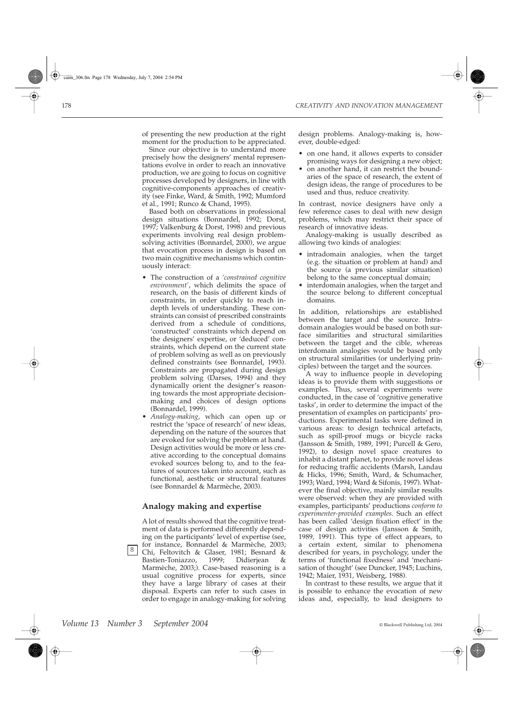of presenting the new production at the right moment for the production to be appreciated.

Since our objective is to understand more precisely how the designers' mental representations evolve in order to reach an innovative production, we are going to focus on cognitive processes developed by designers, in line with cognitive-components approaches of creativity (see Finke, Ward, & Smith, 1992; Mumford et al., 1991; Runco & Chand, 1995).

Based both on observations in professional design situations (Bonnardel, 1992; Dorst, 1997; Valkenburg & Dorst, 1998) and previous experiments involving real design problemsolving activities (Bonnardel, 2000), we argue that evocation process in design is based on two main cognitive mechanisms which continuously interact:

- The construction of a *'constrained cognitive environment'*, which delimits the space of research, on the basis of different kinds of constraints, in order quickly to reach indepth levels of understanding. These constraints can consist of prescribed constraints derived from a schedule of conditions, 'constructed' constraints which depend on the designers' expertise, or 'deduced' constraints, which depend on the current state of problem solving as well as on previously defined constraints (see Bonnardel, 1993). Constraints are propagated during design problem solving (Darses, 1994) and they dynamically orient the designer's reasoning towards the most appropriate decisionmaking and choices of design options (Bonnardel, 1999).
- *Analogy-making*, which can open up or restrict the 'space of research' of new ideas, depending on the nature of the sources that are evoked for solving the problem at hand. Design activities would be more or less creative according to the conceptual domains evoked sources belong to, and to the features of sources taken into account, such as functional, aesthetic or structural features (see Bonnardel & Marmèche, 2003).

#### **Analogy making and expertise**

A lot of results showed that the cognitive treatment of data is performed differently depending on the participants' level of expertise (see, for instance, Bonnardel & Marmèche, 2003; Chi, Feltovitch & Glaser, 1981; Besnard & Bastien-Toniazzo, 1999; Didierjean & Marmèche, 2003;). Case-based reasoning is a usual cognitive process for experts, since they have a large library of cases at their disposal. Experts can refer to such cases in order to engage in analogy-making for solving 8

design problems. Analogy-making is, however, double-edged:

- on one hand, it allows experts to consider promising ways for designing a new object;
- on another hand, it can restrict the boundaries of the space of research, the extent of design ideas, the range of procedures to be used and thus, reduce creativity.

In contrast, novice designers have only a few reference cases to deal with new design problems, which may restrict their space of research of innovative ideas.

Analogy-making is usually described as allowing two kinds of analogies:

- intradomain analogies, when the target (e.g. the situation or problem at hand) and the source (a previous similar situation) belong to the same conceptual domain;
- interdomain analogies, when the target and the source belong to different conceptual domains.

In addition, relationships are established between the target and the source. Intradomain analogies would be based on both surface similarities and structural similarities between the target and the cible, whereas interdomain analogies would be based only on structural similarities (or underlying principles) between the target and the sources.

A way to influence people in developing ideas is to provide them with suggestions or examples. Thus, several experiments were conducted, in the case of 'cognitive generative tasks', in order to determine the impact of the presentation of examples on participants' productions. Experimental tasks were defined in various areas: to design technical artefacts, such as spill-proof mugs or bicycle racks (Jansson & Smith, 1989, 1991; Purcell & Gero, 1992), to design novel space creatures to inhabit a distant planet, to provide novel ideas for reducing traffic accidents (Marsh, Landau & Hicks, 1996; Smith, Ward, & Schumacher, 1993; Ward, 1994; Ward & Sifonis, 1997). Whatever the final objective, mainly similar results were observed: when they are provided with examples, participants' productions *conform to experimenter-provided examples*. Such an effect has been called 'design fixation effect' in the case of design activities (Jansson & Smith, 1989, 1991). This type of effect appears, to a certain extent, similar to phenomena described for years, in psychology, under the terms of 'functional fixedness' and 'mechanisation of thought' (see Duncker, 1945; Luchins, 1942; Maier, 1931, Weisberg, 1988).

In contrast to these results, we argue that it is possible to enhance the evocation of new ideas and, especially, to lead designers to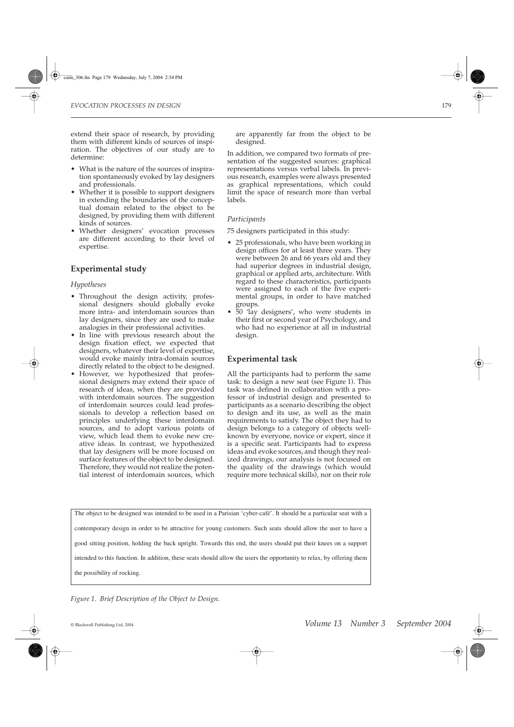extend their space of research, by providing them with different kinds of sources of inspiration. The objectives of our study are to determine:

- What is the nature of the sources of inspiration spontaneously evoked by lay designers and professionals.
- Whether it is possible to support designers in extending the boundaries of the conceptual domain related to the object to be designed, by providing them with different kinds of sources.
- Whether designers' evocation processes are different according to their level of expertise.

### **Experimental study**

#### *Hypotheses*

- Throughout the design activity, professional designers should globally evoke more intra- and interdomain sources than lay designers, since they are used to make analogies in their professional activities.
- In line with previous research about the design fixation effect, we expected that designers, whatever their level of expertise, would evoke mainly intra-domain sources directly related to the object to be designed.
- However, we hypothesized that professional designers may extend their space of research of ideas, when they are provided with interdomain sources. The suggestion of interdomain sources could lead professionals to develop a reflection based on principles underlying these interdomain sources, and to adopt various points of view, which lead them to evoke new creative ideas. In contrast, we hypothesized that lay designers will be more focused on surface features of the object to be designed. Therefore, they would not realize the potential interest of interdomain sources, which

are apparently far from the object to be designed.

In addition, we compared two formats of presentation of the suggested sources: graphical representations versus verbal labels. In previous research, examples were always presented as graphical representations, which could limit the space of research more than verbal labels.

#### *Participants*

75 designers participated in this study:

- 25 professionals, who have been working in design offices for at least three years. They were between 26 and 66 years old and they had superior degrees in industrial design, graphical or applied arts, architecture. With regard to these characteristics, participants were assigned to each of the five experimental groups, in order to have matched groups.
- 50 'lay designers', who were students in their first or second year of Psychology, and who had no experience at all in industrial design.

### **Experimental task**

All the participants had to perform the same task: to design a new seat (see Figure 1). This task was defined in collaboration with a professor of industrial design and presented to participants as a scenario describing the object to design and its use, as well as the main requirements to satisfy. The object they had to design belongs to a category of objects wellknown by everyone, novice or expert, since it is a specific seat. Participants had to express ideas and evoke sources, and though they realized drawings, our analysis is not focused on the quality of the drawings (which would require more technical skills), nor on their role

The object to be designed was intended to be used in a Parisian 'cyber-café'. It should be a particular seat with a contemporary design in order to be attractive for young customers. Such seats should allow the user to have a good sitting position, holding the back upright. Towards this end, the users should put their knees on a support intended to this function. In addition, these seats should allow the users the opportunity to relax, by offering them the possibility of rocking.

*Figure 1. Brief Description of the Object to Design.*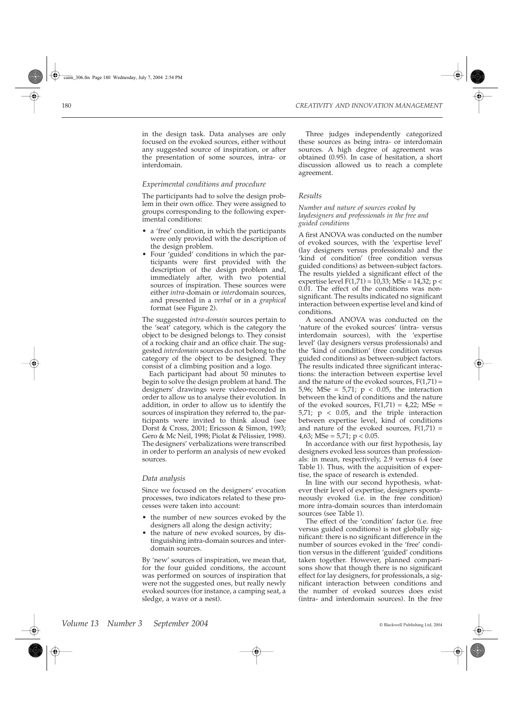in the design task. Data analyses are only focused on the evoked sources, either without any suggested source of inspiration, or after the presentation of some sources, intra- or interdomain.

#### *Experimental conditions and procedure*

The participants had to solve the design problem in their own office. They were assigned to groups corresponding to the following experimental conditions:

- a 'free' condition, in which the participants were only provided with the description of the design problem.
- Four 'guided' conditions in which the participants were first provided with the description of the design problem and, immediately after, with two potential sources of inspiration. These sources were either *intra-*domain or *inter*domain sources, and presented in a *verbal* or in a *graphical* format (see Figure 2).

The suggested *intra-domain* sources pertain to the 'seat' category, which is the category the object to be designed belongs to. They consist of a rocking chair and an office chair. The suggested *interdomain* sources do not belong to the category of the object to be designed. They consist of a climbing position and a logo.

Each participant had about 50 minutes to begin to solve the design problem at hand. The designers' drawings were video-recorded in order to allow us to analyse their evolution. In addition, in order to allow us to identify the sources of inspiration they referred to, the participants were invited to think aloud (see Dorst & Cross, 2001; Ericsson & Simon, 1993; Gero & Mc Neil, 1998; Piolat & Pélissier, 1998). The designers' verbalizations were transcribed in order to perform an analysis of new evoked sources.

#### *Data analysis*

Since we focused on the designers' evocation processes, two indicators related to these processes were taken into account:

- the number of new sources evoked by the designers all along the design activity;
- the nature of new evoked sources, by distinguishing intra-domain sources and interdomain sources.

By 'new' sources of inspiration, we mean that, for the four guided conditions, the account was performed on sources of inspiration that were not the suggested ones, but really newly evoked sources (for instance, a camping seat, a sledge, a wave or a nest).

Three judges independently categorized these sources as being intra- or interdomain sources. A high degree of agreement was obtained (0.95). In case of hesitation, a short discussion allowed us to reach a complete agreement.

#### *Results*

#### *Number and nature of sources evoked by laydesigners and professionals in the free and guided conditions*

A first ANOVA was conducted on the number of evoked sources, with the 'expertise level' (lay designers versus professionals) and the 'kind of condition' (free condition versus guided conditions) as between-subject factors. The results yielded a significant effect of the expertise level  $F(1,71) = 10,33$ ; MSe = 14,32; p < 0.01. The effect of the conditions was nonsignificant. The results indicated no significant interaction between expertise level and kind of conditions.

A second ANOVA was conducted on the 'nature of the evoked sources' (intra- versus interdomain sources), with the 'expertise level' (lay designers versus professionals) and the 'kind of condition' (free condition versus guided conditions) as between-subject factors. The results indicated three significant interactions: the interaction between expertise level and the nature of the evoked sources,  $F(1,71) =$ 5,96; MSe = 5,71;  $p < 0.05$ , the interaction between the kind of conditions and the nature of the evoked sources,  $F(1,71) = 4,22$ ; MSe =  $5,71$ ;  $p < 0.05$ , and the triple interaction between expertise level, kind of conditions and nature of the evoked sources,  $F(1,71) =$ 4,63; MSe = 5,71;  $p < 0.05$ .

In accordance with our first hypothesis, lay designers evoked less sources than professionals: in mean, respectively, 2.9 versus 6.4 (see Table 1). Thus, with the acquisition of expertise, the space of research is extended.

In line with our second hypothesis, whatever their level of expertise, designers spontaneously evoked (i.e. in the free condition) more intra-domain sources than interdomain sources (see Table 1).

The effect of the 'condition' factor (i.e. free versus guided conditions) is not globally significant: there is no significant difference in the number of sources evoked in the 'free' condition versus in the different 'guided' conditions taken together. However, planned comparisons show that though there is no significant effect for lay designers, for professionals, a significant interaction between conditions and the number of evoked sources does exist (intra- and interdomain sources). In the free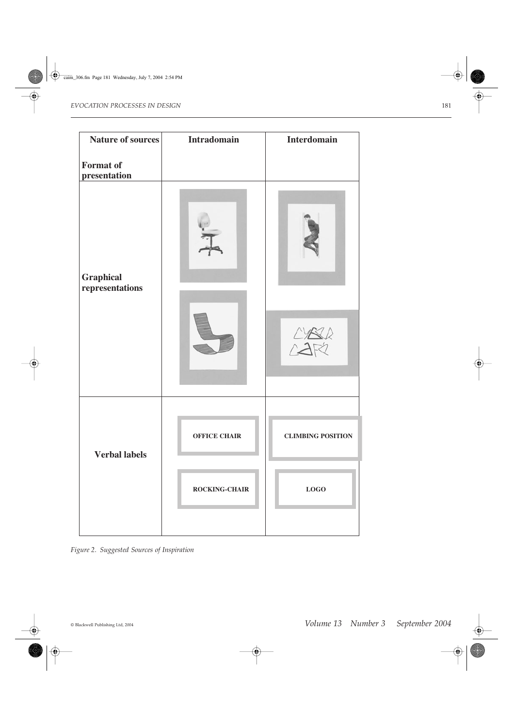♦

| r |        |
|---|--------|
|   | ٠<br>I |

| Nature of sources                | <b>Intradomain</b>  | <b>Interdomain</b>       |  |
|----------------------------------|---------------------|--------------------------|--|
| <b>Format</b> of<br>presentation |                     |                          |  |
| Graphical<br>representations     |                     | <b>LYSER</b>             |  |
| <b>Verbal labels</b>             | <b>OFFICE CHAIR</b> | <b>CLIMBING POSITION</b> |  |
|                                  | ROCKING-CHAIR       | <b>LOGO</b>              |  |

*Figure 2. Suggested Sources of Inspiration*

€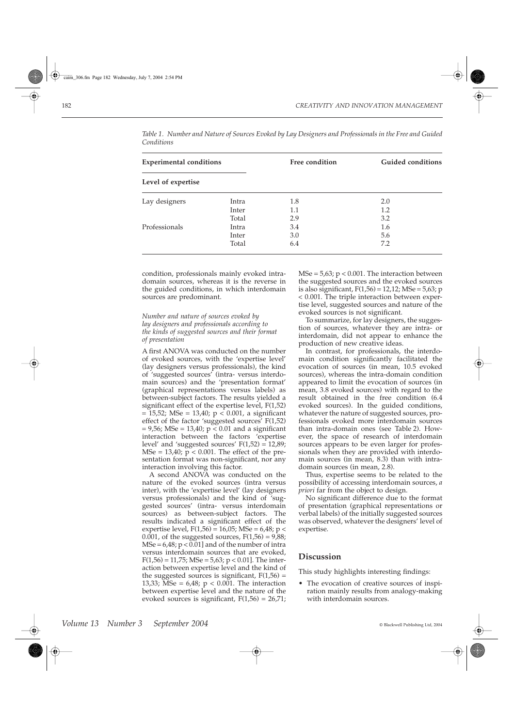| <b>Experimental conditions</b> |       | Free condition | <b>Guided conditions</b> |  |
|--------------------------------|-------|----------------|--------------------------|--|
| Level of expertise             |       |                |                          |  |
| Lay designers                  | Intra | 1.8            | 2.0                      |  |
|                                | Inter | 1.1            | 1.2                      |  |
|                                | Total | 2.9            | 3.2                      |  |
| Professionals                  | Intra | 3.4            | 1.6                      |  |
|                                | Inter | 3.0            | 5.6                      |  |
|                                | Total | 6.4            | 7.2                      |  |

*Table 1. Number and Nature of Sources Evoked by Lay Designers and Professionals in the Free and Guided Conditions*

condition, professionals mainly evoked intradomain sources, whereas it is the reverse in the guided conditions, in which interdomain sources are predominant.

#### *Number and nature of sources evoked by lay designers and professionals according to the kinds of suggested sources and their format of presentation*

A first ANOVA was conducted on the number of evoked sources, with the 'expertise level' (lay designers versus professionals), the kind of 'suggested sources' (intra- versus interdomain sources) and the 'presentation format' (graphical representations versus labels) as between-subject factors. The results yielded a significant effect of the expertise level, F(1,52)  $= 15,52$ ; MSe  $= 13,40$ ; p  $< 0.001$ , a significant effect of the factor 'suggested sources' F(1,52)  $= 9,56$ ; MSe = 13,40;  $p < 0.01$  and a significant interaction between the factors 'expertise level' and 'suggested sources'  $F(1,52) = 12,89$ ;  $MSe = 13,40; p < 0.001$ . The effect of the presentation format was non-significant, nor any interaction involving this factor.

A second ANOVA was conducted on the nature of the evoked sources (intra versus inter), with the 'expertise level' (lay designers versus professionals) and the kind of 'suggested sources' (intra- versus interdomain sources) as between-subject factors. The results indicated a significant effect of the expertise level,  $F(1,56) = 16,05$ ; MSe = 6,48; p < 0.001, of the suggested sources,  $F(1,56) = 9,88$ ;  $MSe = 6,48; p < 0.01$  and of the number of intra versus interdomain sources that are evoked,  $F(1,56) = 11,75$ ; MSe = 5,63; p < 0.01]. The interaction between expertise level and the kind of the suggested sources is significant,  $F(1,56) =$ 13,33; MSe =  $6,48$ ;  $p < 0.001$ . The interaction between expertise level and the nature of the evoked sources is significant,  $F(1,56) = 26,71$ ;

 $MSe = 5,63; p < 0.001$ . The interaction between the suggested sources and the evoked sources is also significant,  $F(1,56) = 12,12$ ; MSe = 5,63; p < 0.001. The triple interaction between expertise level, suggested sources and nature of the evoked sources is not significant.

To summarize, for lay designers, the suggestion of sources, whatever they are intra- or interdomain, did not appear to enhance the production of new creative ideas.

In contrast, for professionals, the interdomain condition significantly facilitated the evocation of sources (in mean, 10.5 evoked sources), whereas the intra-domain condition appeared to limit the evocation of sources (in mean, 3.8 evoked sources) with regard to the result obtained in the free condition (6.4 evoked sources). In the guided conditions, whatever the nature of suggested sources, professionals evoked more interdomain sources than intra-domain ones (see Table 2). However, the space of research of interdomain sources appears to be even larger for professionals when they are provided with interdomain sources (in mean, 8.3) than with intradomain sources (in mean, 2.8).

Thus, expertise seems to be related to the possibility of accessing interdomain sources, *a priori* far from the object to design.

No significant difference due to the format of presentation (graphical representations or verbal labels) of the initially suggested sources was observed, whatever the designers' level of expertise.

### **Discussion**

This study highlights interesting findings:

• The evocation of creative sources of inspiration mainly results from analogy-making with interdomain sources.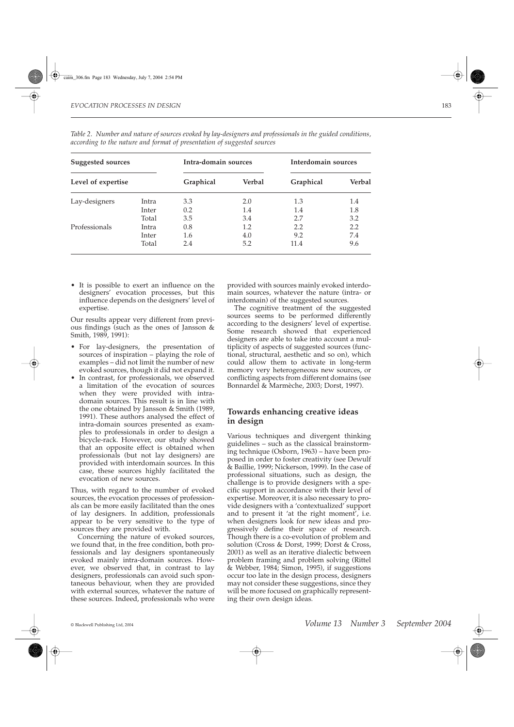#### *EVOCATION PROCESSES IN DESIGN* 183

| <b>Suggested sources</b> |       | Intra-domain sources |               | Interdomain sources |        |  |
|--------------------------|-------|----------------------|---------------|---------------------|--------|--|
| Level of expertise       |       | Graphical            | <b>Verbal</b> | <b>Graphical</b>    | Verbal |  |
| Lay-designers            | Intra | 3.3                  | 2.0           | 1.3                 | 1.4    |  |
|                          | Inter | 0.2                  | 1.4           | 1.4                 | 1.8    |  |

Total 3.5 3.4 2.7 3.2

Inter 1.6 4.0 9.2 7.4 Total 2.4 5.2 11.4 9.6

*Table 2. Number and nature of sources evoked by lay-designers and professionals in the guided conditions, according to the nat* 

Professionals Intra 0.8 1.2 2.2 2.2

• It is possible to exert an influence on the designers' evocation processes, but this influence depends on the designers' level of expertise.

Our results appear very different from previous findings (such as the ones of Jansson & Smith, 1989, 1991):

- For lay-designers, the presentation of sources of inspiration – playing the role of examples – did not limit the number of new evoked sources, though it did not expand it.
- In contrast, for professionals, we observed a limitation of the evocation of sources when they were provided with intradomain sources. This result is in line with the one obtained by Jansson & Smith (1989, 1991). These authors analysed the effect of intra-domain sources presented as examples to professionals in order to design a bicycle-rack. However, our study showed that an opposite effect is obtained when professionals (but not lay designers) are provided with interdomain sources. In this case, these sources highly facilitated the evocation of new sources.

Thus, with regard to the number of evoked sources, the evocation processes of professionals can be more easily facilitated than the ones of lay designers. In addition, professionals appear to be very sensitive to the type of sources they are provided with.

Concerning the nature of evoked sources, we found that, in the free condition, both professionals and lay designers spontaneously evoked mainly intra-domain sources. However, we observed that, in contrast to lay designers, professionals can avoid such spontaneous behaviour, when they are provided with external sources, whatever the nature of these sources. Indeed, professionals who were provided with sources mainly evoked interdomain sources, whatever the nature (intra- or interdomain) of the suggested sources.

The cognitive treatment of the suggested sources seems to be performed differently according to the designers' level of expertise. Some research showed that experienced designers are able to take into account a multiplicity of aspects of suggested sources (functional, structural, aesthetic and so on), which could allow them to activate in long-term memory very heterogeneous new sources, or conflicting aspects from different domains (see Bonnardel & Marmèche, 2003; Dorst, 1997).

## **Towards enhancing creative ideas in design**

Various techniques and divergent thinking guidelines – such as the classical brainstorming technique (Osborn, 1963) – have been proposed in order to foster creativity (see Dewulf & Baillie, 1999; Nickerson, 1999). In the case of professional situations, such as design, the challenge is to provide designers with a specific support in accordance with their level of expertise. Moreover, it is also necessary to provide designers with a 'contextualized' support and to present it 'at the right moment', i.e. when designers look for new ideas and progressively define their space of research. Though there is a co-evolution of problem and solution (Cross & Dorst, 1999; Dorst & Cross, 2001) as well as an iterative dialectic between problem framing and problem solving (Rittel & Webber, 1984; Simon, 1995), if suggestions occur too late in the design process, designers may not consider these suggestions, since they will be more focused on graphically representing their own design ideas.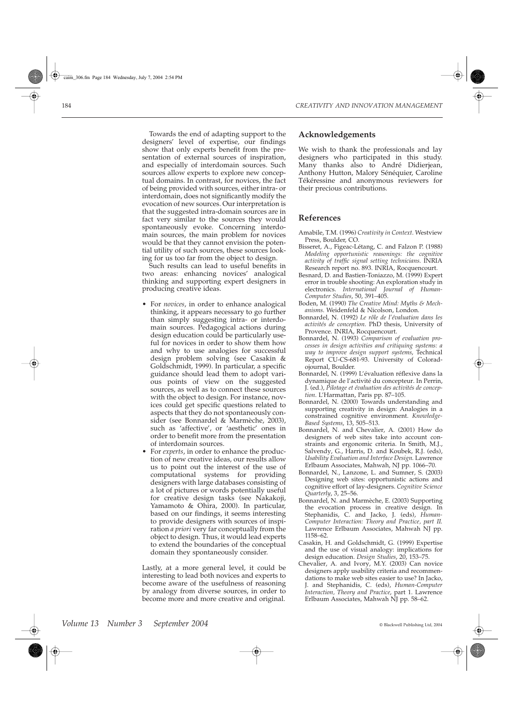caim\_306.fm Page 184 Wednesday, July 7, 2004 2:54 PM

Towards the end of adapting support to the designers' level of expertise, our findings show that only experts benefit from the presentation of external sources of inspiration, and especially of interdomain sources. Such sources allow experts to explore new conceptual domains. In contrast, for novices, the fact of being provided with sources, either intra- or interdomain, does not significantly modify the evocation of new sources. Our interpretation is that the suggested intra-domain sources are in fact very similar to the sources they would spontaneously evoke. Concerning interdomain sources, the main problem for novices would be that they cannot envision the potential utility of such sources, these sources looking for us too far from the object to design.

Such results can lead to useful benefits in two areas: enhancing novices' analogical thinking and supporting expert designers in producing creative ideas.

- For *novices*, in order to enhance analogical thinking, it appears necessary to go further than simply suggesting intra- or interdomain sources. Pedagogical actions during design education could be particularly useful for novices in order to show them how and why to use analogies for successful design problem solving (see Casakin & Goldschmidt, 1999). In particular, a specific guidance should lead them to adopt various points of view on the suggested sources, as well as to connect these sources with the object to design. For instance, novices could get specific questions related to aspects that they do not spontaneously consider (see Bonnardel & Marmèche, 2003), such as 'affective', or 'aesthetic' ones in order to benefit more from the presentation of interdomain sources.
- For *experts*, in order to enhance the production of new creative ideas, our results allow us to point out the interest of the use of computational systems for providing designers with large databases consisting of a lot of pictures or words potentially useful for creative design tasks (see Nakakoji, Yamamoto & Ohira, 2000). In particular, based on our findings, it seems interesting to provide designers with sources of inspiration *a priori* very far conceptually from the object to design. Thus, it would lead experts to extend the boundaries of the conceptual domain they spontaneously consider.

Lastly, at a more general level, it could be interesting to lead both novices and experts to become aware of the usefulness of reasoning by analogy from diverse sources, in order to become more and more creative and original.

#### **Acknowledgements**

We wish to thank the professionals and lay designers who participated in this study. Many thanks also to André Didierjean, Anthony Hutton, Malory Sénéquier, Caroline Tékéressine and anonymous reviewers for their precious contributions.

#### **References**

- Amabile, T.M. (1996) *Creativity in Context*. Westview Press, Boulder, CO.
- Bisseret, A., Figeac-Létang, C. and Falzon P. (1988) *Modeling opportunistic reasonings: the cognitive activity of traffic signal setting technicians*. INRIA Research report no. 893. INRIA, Rocquencourt.
- Besnard, D. and Bastien-Toniazzo, M. (1999) Expert error in trouble shooting: An exploration study in electronics. *International Journal of Human-Computer Studies*, 50, 391–405.
- Boden, M. (1990) *The Creative Mind: Myths & Mechanisms*. Weidenfeld & Nicolson, London.
- Bonnardel, N. (1992) *Le rôle de l'évaluation dans les activités de conception*. PhD thesis, University of Provence. INRIA, Rocquencourt.
- Bonnardel, N. (1993) *Comparison of evaluation processes in design activities and critiquing systems: a way to improve design support systems*, Technical Report CU-CS-681-93. University of Coloradojournal, Boulder.
- Bonnardel, N. (1999) L'évaluation réflexive dans la dynamique de l'activité du concepteur. In Perrin, J. (ed.), *Pilotage et évaluation des activités de conception*. L'Harmattan, Paris pp. 87–105.
- Bonnardel, N. (2000) Towards understanding and supporting creativity in design: Analogies in a constrained cognitive environment. *Knowledge-Based Systems*, 13, 505–513.
- Bonnardel, N. and Chevalier, A. (2001) How do designers of web sites take into account constraints and ergonomic criteria. In Smith, M.J., Salvendy, G., Harris, D. and Koubek, R.J. (eds), *Usability Evaluation and Interface Design*. Lawrence Erlbaum Associates, Mahwah, NJ pp. 1066–70.
- Bonnardel, N., Lanzone, L. and Sumner, S. (2003) Designing web sites: opportunistic actions and cognitive effort of lay-designers. *Cognitive Science Quarterly*, 3, 25–56.
- Bonnardel, N. and Marmèche, E. (2003) Supporting the evocation process in creative design. In Stephanidis, C. and Jacko, J. (eds), *Human-Computer Interaction: Theory and Practice, part II*. Lawrence Erlbaum Associates, Mahwah NJ pp. 1158–62.
- Casakin, H. and Goldschmidt, G. (1999) Expertise and the use of visual analogy: implications for design education. *Design Studies*, 20, 153–75.
- Chevalier, A. and Ivory, M.Y. (2003) Can novice designers apply usability criteria and recommendations to make web sites easier to use? In Jacko, J. and Stephanidis, C. (eds), *Human-Computer Interaction, Theory and Practice*, part 1. Lawrence Erlbaum Associates, Mahwah NJ pp. 58–62.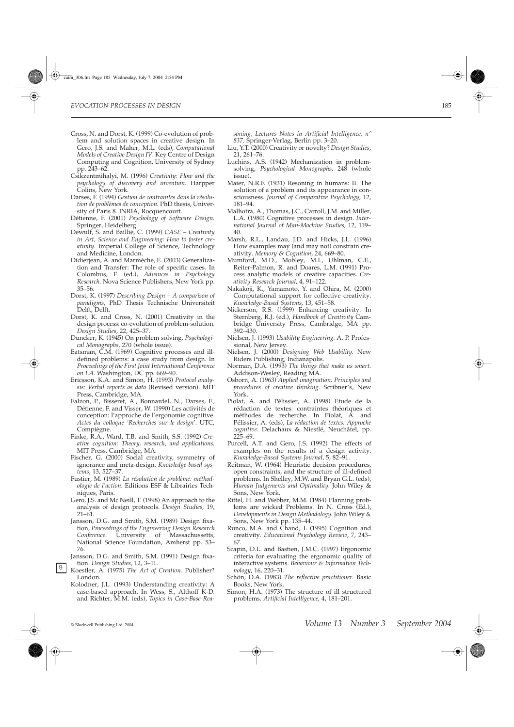- Cross, N. and Dorst, K. (1999) Co-evolution of problem and solution spaces in creative design. In Gero, J.S. and Maher, M.L. (eds), *Computational Models of Creative Design IV*. Key Centre of Design Computing and Cognition, University of Sydney pp. 243–62.
- Csikzentmihalyi, M. (1996) *Creativity: Flow and the psychology of discovery and invention*. Harpper Colins, New York.
- Darses, F. (1994) *Gestion de contraintes dans la résolution de problèmes de conception*. PhD thesis, University of Paris 8. INRIA, Rocquencourt.
- Détienne, F. (2001) *Psychology of Software Design*. Springer, Heidelberg.
- Dewulf, S. and Baillie, C. (1999) *CASE Creativity in Art, Science and Engineering: How to foster creativity*. Imperial College of Science, Technology and Medicine, London.
- Didierjean, A. and Marmèche, E. (2003) Generalization and Transfer: The role of specific cases. In Colombus, F. (ed.), *Advances in Psychology Research*. Nova Science Publishers, New York pp. 35–56.
- Dorst, K. (1997) *Describing Design A comparison of paradigms*, PhD Thesis Technische Universiteit Delft, Delft.
- Dorst, K. and Cross, N. (2001) Creativity in the design process: co-evolution of problem-solution. *Design Studies*, 22, 425–37.
- Duncker, K. (1945) On problem solving, *Psychological Monographs*, 270 (whole issue).
- Eatsman, C.M. (1969) Cognitive processes and illdefined problems: a case study from design. In *Proceedings of the First Joint International Conference on I.A*. Washington, DC pp. 669–90.
- Ericsson, K.A. and Simon, H. (1993) *Protocol analysis: Verbal reports as data* (Revised version). MIT Press, Cambridge, MA.
- Falzon, P., Bisseret, A., Bonnardel, N., Darses, F., Détienne, F. and Visser, W. (1990) Les activités de conception: l'approche de l'ergonomie cognitive. *Actes du colloque 'Recherches sur le design*'. UTC, Compiègne.
- Finke, R.A., Ward, T.B. and Smith, S.S. (1992) *Creative cognition: Theory, research, and applications*. MIT Press, Cambridge, MA.
- Fischer, G. (2000) Social creativity, symmetry of ignorance and meta-design. *Knowledge-based systems*, 13, 527–37.
- Fustier, M. (1989) *La résolution de problème: méthodologie de l'action*. Editions ESF & Librairies Techniques, Paris.
- Gero, J.S. and Mc Neill, T. (1998) An approach to the analysis of design protocols. *Design Studies*, 19, 21–61.
- Jansson, D.G. and Smith, S.M. (1989) Design fixation, *Proceedings of the Engineering Design Research Conference*. University of Massachussetts, National Science Foundation, Amherst pp. 53– 76.
- Jansson, D.G. and Smith, S.M. (1991) Design fixation. *Design Studies*, 12, 3–11.
- Koestler, A. (1975) *The Act of Creation*. Publisher? London. 9
	- Kolodner, J.L. (1993) Understanding creativity: A case-based approach. In Wess, S., Althoff K-D. and Richter, M.M. (eds), *Topics in Case-Base Rea-*

*soning, Lectures Notes in Artificial Intelligence, n*<sup>∞</sup> *837*. Springer-Verlag, Berlin pp. 3–20.

- Liu, Y.T. (2000) Creativity or novelty? *Design Studies*, 21, 261–76.
- Luchins, A.S. (1942) Mechanization in problemsolving, *Psychological Monographs*, 248 (whole issue).
- Maier, N.R.F. (1931) Resoning in humans: II. The solution of a problem and its appearance in consciousness. *Journal of Comparative Psychology*, 12, 181–94.
- Malhotra, A., Thomas, J.C., Carroll, J.M. and Miller, L.A. (1980) Cognitive processes in design. *International Journal of Man-Machine Studies*, 12, 119– 40.
- Marsh, R.L., Landau, J.D. and Hicks, J.L. (1996) How examples may (and may not) constrain creativity. *Memory & Cognition*, 24, 669–80.
- Mumford, M.D., Mobley, M.I., Uhlman, C.E., Reiter-Palmon, R. and Doares, L.M. (1991) Process analytic models of creative capacities. *Creativity Research Journal*, 4, 91–122.
- Nakakoji, K., Yamamoto, Y. and Ohira, M. (2000) Computational support for collective creativity. *Knowledge-Based Systems*, 13, 451–58.
- Nickerson, R.S. (1999) Enhancing creativity. In Sternberg, R.J. (ed.), *Handbook of Creativity* Cambridge University Press, Cambridge, MA pp. 392–430.
- Nielsen, J. (1993) *Usability Engineering*. A. P. Professional, New Jersey.
- Nielsen, J. (2000) *Designing Web Usability*. New Riders Publishing, Indianapolis.
- Norman, D.A. (1993) *The things that make us smart*. Addison-Wesley, Reading MA.
- Osborn, A. (1963) *Applied imagination: Principles and procedures of creative thinking*. Scribner's, New York.
- Piolat, A. and Pélissier, A. (1998) Etude de la rédaction de textes: contraintes théoriques et méthodes de recherche. In Piolat, A. and Pélissier, A. (eds), *La rédaction de textes: Approche cognitive*. Delachaux & Niestlé, Neuchâtel, pp. 225–69.
- Purcell, A.T. and Gero, J.S. (1992) The effects of examples on the results of a design activity. *Knowledge-Based Systems Journal*, 5, 82–91.
- Reitman, W. (1964) Heuristic decision procedures, open constraints, and the structure of ill-defined problems. In Shelley, M.W. and Bryan G.L. (eds), *Human Judgements and Optimality*. John Wiley & Sons, New York.
- Rittel, H. and Webber, M.M. (1984) Planning problems are wicked Problems. In N. Cross (Ed.), *Developments in Design Methodology*. John Wiley & Sons, New York pp. 135–44.
- Runco, M.A. and Chand, I. (1995) Cognition and creativity. *Educational Psychology Review*, 7, 243– 67.
- Scapin, D.L. and Bastien, J.M.C. (1997) Ergonomic criteria for evaluating the ergonomic quality of interactive systems. *Behaviour & Information Technology*, 16, 220–31.
- Schön, D.A. (1983) *The reflective practitioner*. Basic Books, New York.
- Simon, H.A. (1973) The structure of ill structured problems. *Artificial Intelligence*, 4, 181–201.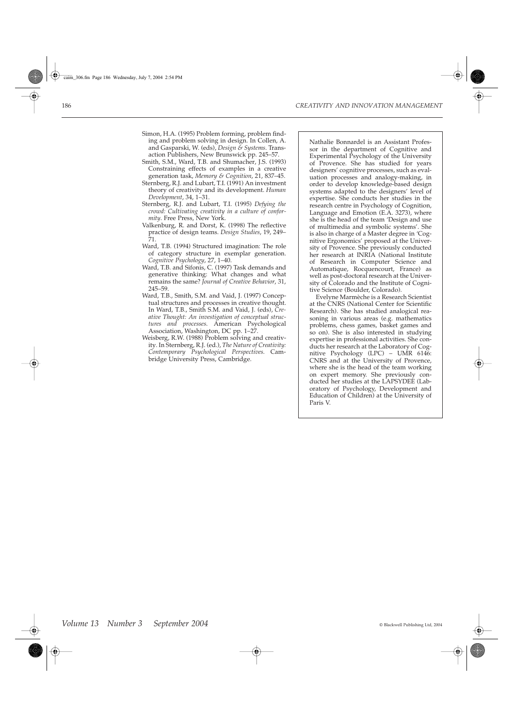#### 186 *CREATIVITY AND INNOVATION MANAGEMENT*

- Simon, H.A. (1995) Problem forming, problem finding and problem solving in design. In Collen, A. and Gasparski, W. (eds), *Design & Systems*. Transaction Publishers, New Brunswick pp. 245–57.
- Smith, S.M., Ward, T.B. and Shumacher, J.S. (1993) Constraining effects of examples in a creative generation task, *Memory & Cognition*, 21, 837–45.
- Sternberg, R.J. and Lubart, T.I. (1991) An investment theory of creativity and its development. *Human Development*, 34, 1–31.
- Sternberg, R.J. and Lubart, T.I. (1995) *Defying the crowd: Cultivating creativity in a culture of conformity*. Free Press, New York.
- Valkenburg, R. and Dorst, K. (1998) The reflective practice of design teams. *Design Studies*, 19, 249– 71.
- Ward, T.B. (1994) Structured imagination: The role of category structure in exemplar generation. *Cognitive Psychology*, 27, 1–40.
- Ward, T.B. and Sifonis, C. (1997) Task demands and generative thinking: What changes and what remains the same? *Journal of Creative Behavior*, 31, 245–59.
- Ward, T.B., Smith, S.M. and Vaid, J. (1997) Conceptual structures and processes in creative thought. In Ward, T.B., Smith S.M. and Vaid, J. (eds), *Creative Thought: An investigation of conceptual structures and processes*. American Psychological Association, Washington, DC pp. 1–27.
- Weisberg, R.W. (1988) Problem solving and creativity. In Sternberg, R.J. (ed.), *The Nature of Creativity: Contemporary Psychological Perspectives*. Cambridge University Press, Cambridge.

Nathalie Bonnardel is an Assistant Professor in the department of Cognitive and Experimental Psychology of the University of Provence. She has studied for years designers' cognitive processes, such as evaluation processes and analogy-making, in order to develop knowledge-based design systems adapted to the designers' level of expertise. She conducts her studies in the research centre in Psychology of Cognition, Language and Emotion (E.A. 3273), where she is the head of the team 'Design and use of multimedia and symbolic systems'. She is also in charge of a Master degree in 'Cognitive Ergonomics' proposed at the University of Provence. She previously conducted her research at INRIA (National Institute of Research in Computer Science and Automatique, Rocquencourt, France) as well as post-doctoral research at the University of Colorado and the Institute of Cognitive Science (Boulder, Colorado).

Evelyne Marmèche is a Research Scientist at the CNRS (National Center for Scientific Research). She has studied analogical reasoning in various areas (e.g. mathematics problems, chess games, basket games and so on). She is also interested in studying expertise in professional activities. She conducts her research at the Laboratory of Cognitive Psychology (LPC) – UMR 6146: CNRS and at the University of Provence, where she is the head of the team working on expert memory. She previously conducted her studies at the LAPSYDEE (Laboratory of Psychology, Development and Education of Children) at the University of Paris V.